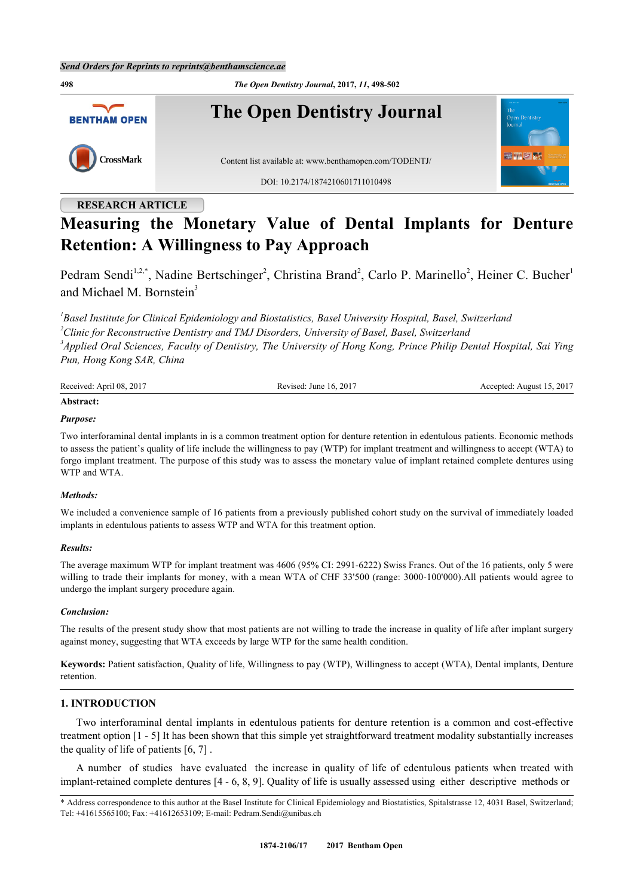**498** *The Open Dentistry Journal***, 2017,** *11***, 498-502 The Open Dentistry Journal BENTHAM OPEN** CrossMark Content list available at: [www.benthamopen.com/TODENTJ/](http://www.benthamopen.com/TODENTJ/) DOI: [10.2174/1874210601711010498](http://dx.doi.org/10.2174/1874210601711010498)

## **RESEARCH ARTICLE**

# **Measuring the Monetary Value of Dental Implants for Denture Retention: A Willingness to Pay Approach**

Pedram Sendi<sup>[1,](#page-0-0)[2,](#page-0-1)[\\*](#page-0-2)</sup>, Nadine Bertschinger<sup>[2](#page-0-1)</sup>, Christina Brand<sup>2</sup>, Carlo P. Marinello<sup>2</sup>, Heiner C. Bucher<sup>[1](#page-0-0)</sup> and Michael M. Bornstein<sup>[3](#page-0-3)</sup>

<span id="page-0-3"></span><span id="page-0-1"></span><span id="page-0-0"></span> *Basel Institute for Clinical Epidemiology and Biostatistics, Basel University Hospital, Basel, Switzerland Clinic for Reconstructive Dentistry and TMJ Disorders, University of Basel, Basel, Switzerland Applied Oral Sciences, Faculty of Dentistry, The University of Hong Kong, Prince Philip Dental Hospital, Sai Ying Pun, Hong Kong SAR, China*

| Received: April 08, 2017 | Revised: June 16, 2017 | Accepted: August 15, 2017 |
|--------------------------|------------------------|---------------------------|
| Abstract:                |                        |                           |

#### *Purpose:*

Two interforaminal dental implants in is a common treatment option for denture retention in edentulous patients. Economic methods to assess the patient's quality of life include the willingness to pay (WTP) for implant treatment and willingness to accept (WTA) to forgo implant treatment. The purpose of this study was to assess the monetary value of implant retained complete dentures using WTP and WTA.

#### *Methods:*

We included a convenience sample of 16 patients from a previously published cohort study on the survival of immediately loaded implants in edentulous patients to assess WTP and WTA for this treatment option.

#### *Results:*

The average maximum WTP for implant treatment was 4606 (95% CI: 2991-6222) Swiss Francs. Out of the 16 patients, only 5 were willing to trade their implants for money, with a mean WTA of CHF 33'500 (range: 3000-100'000).All patients would agree to undergo the implant surgery procedure again.

#### *Conclusion:*

The results of the present study show that most patients are not willing to trade the increase in quality of life after implant surgery against money, suggesting that WTA exceeds by large WTP for the same health condition.

**Keywords:** Patient satisfaction, Quality of life, Willingness to pay (WTP), Willingness to accept (WTA), Dental implants, Denture retention.

### **1. INTRODUCTION**

Two interforaminal dental implants in edentulous patients for denture retention is a common and cost-effective treatment option [[1](#page-3-0) - [5\]](#page-4-0) It has been shown that this simple yet straightforward treatment modality substantially increases the quality of life of patients [\[6](#page-4-1), [7](#page-4-2)] .

A number of studies have evaluated the increase in quality of life of edentulous patients when treated with implant-retained complete dentures [\[4](#page-4-3) - [6](#page-4-1), [8](#page-4-4), [9](#page-4-5)]. Quality of life is usually assessed using either descriptive methods or

<span id="page-0-2"></span><sup>\*</sup> Address correspondence to this author at the Basel Institute for Clinical Epidemiology and Biostatistics, Spitalstrasse 12, 4031 Basel, Switzerland; Tel: +41615565100; Fax: +41612653109; E-mail: [Pedram.Sendi@unibas.ch](mailto:Pedram.Sendi@unibas.ch)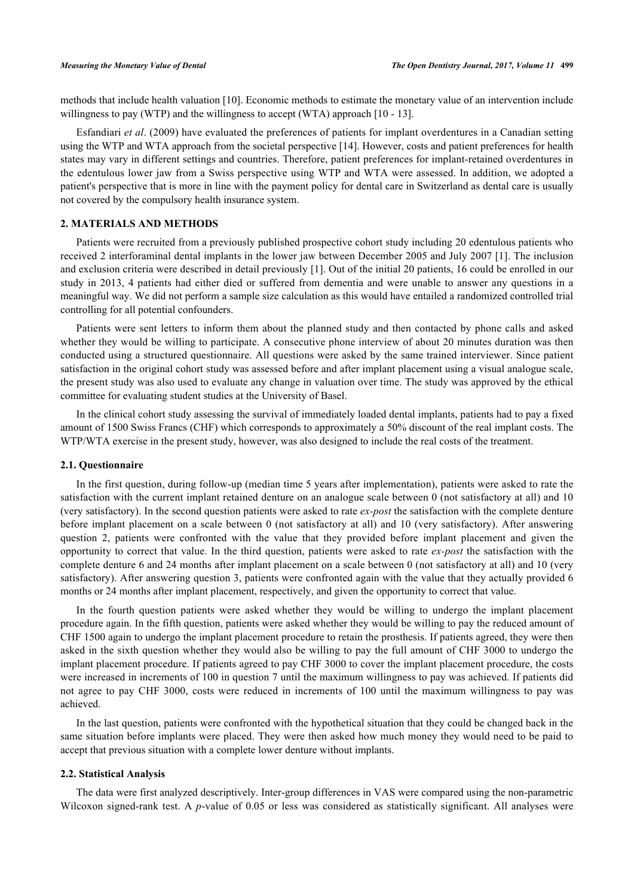methods that include health valuation [[10\]](#page-4-6). Economic methods to estimate the monetary value of an intervention include willingness to pay (WTP) and the willingness to accept (WTA) approach [[10](#page-4-6) - [13](#page-4-7)].

Esfandiari *et al*. (2009) have evaluated the preferences of patients for implant overdentures in a Canadian setting using the WTP and WTA approach from the societal perspective [[14\]](#page-4-8). However, costs and patient preferences for health states may vary in different settings and countries. Therefore, patient preferences for implant-retained overdentures in the edentulous lower jaw from a Swiss perspective using WTP and WTA were assessed. In addition, we adopted a patient's perspective that is more in line with the payment policy for dental care in Switzerland as dental care is usually not covered by the compulsory health insurance system.

#### **2. MATERIALS AND METHODS**

Patients were recruited from a previously published prospective cohort study including 20 edentulous patients who received 2 interforaminal dental implants in the lower jaw between December 2005 and July 2007 [\[1\]](#page-3-0). The inclusion and exclusion criteria were described in detail previously [\[1](#page-3-0)]. Out of the initial 20 patients, 16 could be enrolled in our study in 2013, 4 patients had either died or suffered from dementia and were unable to answer any questions in a meaningful way. We did not perform a sample size calculation as this would have entailed a randomized controlled trial controlling for all potential confounders.

Patients were sent letters to inform them about the planned study and then contacted by phone calls and asked whether they would be willing to participate. A consecutive phone interview of about 20 minutes duration was then conducted using a structured questionnaire. All questions were asked by the same trained interviewer. Since patient satisfaction in the original cohort study was assessed before and after implant placement using a visual analogue scale, the present study was also used to evaluate any change in valuation over time. The study was approved by the ethical committee for evaluating student studies at the University of Basel.

In the clinical cohort study assessing the survival of immediately loaded dental implants, patients had to pay a fixed amount of 1500 Swiss Francs (CHF) which corresponds to approximately a 50% discount of the real implant costs. The WTP/WTA exercise in the present study, however, was also designed to include the real costs of the treatment.

#### **2.1. Questionnaire**

In the first question, during follow-up (median time 5 years after implementation), patients were asked to rate the satisfaction with the current implant retained denture on an analogue scale between 0 (not satisfactory at all) and 10 (very satisfactory). In the second question patients were asked to rate *ex-post* the satisfaction with the complete denture before implant placement on a scale between 0 (not satisfactory at all) and 10 (very satisfactory). After answering question 2, patients were confronted with the value that they provided before implant placement and given the opportunity to correct that value. In the third question, patients were asked to rate *ex-post* the satisfaction with the complete denture 6 and 24 months after implant placement on a scale between 0 (not satisfactory at all) and 10 (very satisfactory). After answering question 3, patients were confronted again with the value that they actually provided 6 months or 24 months after implant placement, respectively, and given the opportunity to correct that value.

In the fourth question patients were asked whether they would be willing to undergo the implant placement procedure again. In the fifth question, patients were asked whether they would be willing to pay the reduced amount of CHF 1500 again to undergo the implant placement procedure to retain the prosthesis. If patients agreed, they were then asked in the sixth question whether they would also be willing to pay the full amount of CHF 3000 to undergo the implant placement procedure. If patients agreed to pay CHF 3000 to cover the implant placement procedure, the costs were increased in increments of 100 in question 7 until the maximum willingness to pay was achieved. If patients did not agree to pay CHF 3000, costs were reduced in increments of 100 until the maximum willingness to pay was achieved.

In the last question, patients were confronted with the hypothetical situation that they could be changed back in the same situation before implants were placed. They were then asked how much money they would need to be paid to accept that previous situation with a complete lower denture without implants.

#### **2.2. Statistical Analysis**

The data were first analyzed descriptively. Inter-group differences in VAS were compared using the non-parametric Wilcoxon signed-rank test. A *p*-value of 0.05 or less was considered as statistically significant. All analyses were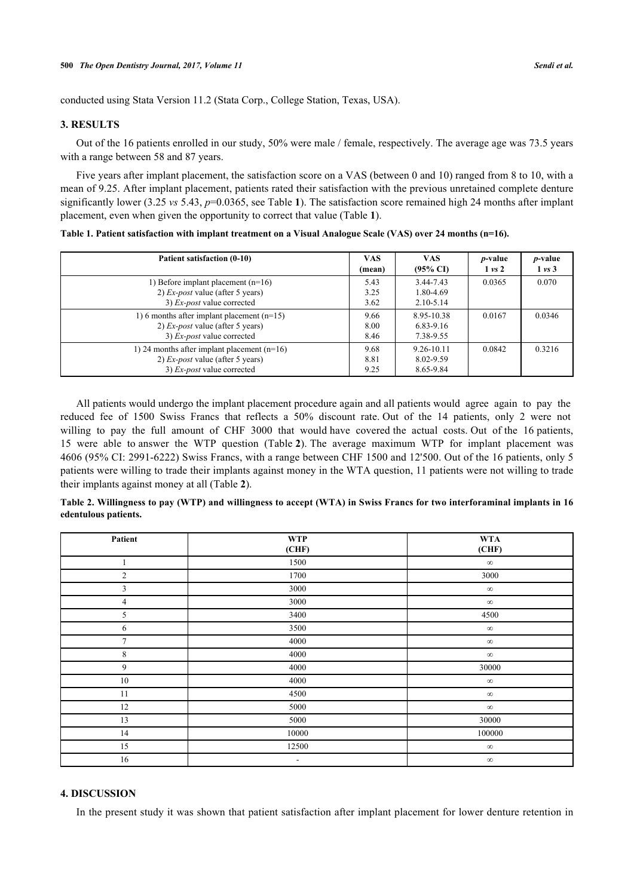conducted using Stata Version 11.2 (Stata Corp., College Station, Texas, USA).

#### **3. RESULTS**

Out of the 16 patients enrolled in our study, 50% were male / female, respectively. The average age was 73.5 years with a range between 58 and 87 years.

Five years after implant placement, the satisfaction score on a VAS (between 0 and 10) ranged from 8 to 10, with a mean of 9.25. After implant placement, patients rated their satisfaction with the previous unretained complete denture significantly lower (3.25 *vs* 5.43, *p*=0.0365, see Table **[1](#page-2-0)**). The satisfaction score remained high 24 months after implant placement, even when given the opportunity to correct that value (Table **[1](#page-2-0)**).

<span id="page-2-0"></span>**Table 1. Patient satisfaction with implant treatment on a Visual Analogue Scale (VAS) over 24 months (n=16).**

| Patient satisfaction (0-10)                                                                                              | <b>VAS</b><br>(mean) | <b>VAS</b><br>$(95\% \text{ CI})$        | <i>p</i> -value<br>$1 \text{ vs } 2$ | <i>p</i> -value<br>$1 \text{ vs } 3$ |
|--------------------------------------------------------------------------------------------------------------------------|----------------------|------------------------------------------|--------------------------------------|--------------------------------------|
| 1) Before implant placement $(n=16)$<br>2) $Ex\text{-}post$ value (after 5 years)<br>3) Ex-post value corrected          | 5.43<br>3.25<br>3.62 | 3.44-7.43<br>1.80-4.69<br>$2.10 - 5.14$  | 0.0365                               | 0.070                                |
| 1) 6 months after implant placement $(n=15)$<br>2) $Ex\text{-}post$ value (after 5 years)<br>3) Ex-post value corrected  |                      | 8.95-10.38<br>$6.83 - 9.16$<br>7.38-9.55 | 0.0167                               | 0.0346                               |
| 1) 24 months after implant placement $(n=16)$<br>2) $Ex\text{-}post$ value (after 5 years)<br>3) Ex-post value corrected |                      | 9.26-10.11<br>8.02-9.59<br>8.65-9.84     | 0.0842                               | 0.3216                               |

All patients would undergo the implant placement procedure again and all patients would agree again to pay the reduced fee of 1500 Swiss Francs that reflects a 50% discount rate. Out of the 14 patients, only 2 were not willing to pay the full amount of CHF 3000 that would have covered the actual costs. Out of the 16 patients, 15 were able to answer the WTP question (Table **[2](#page-2-1)**). The average maximum WTP for implant placement was 4606 (95% CI: 2991-6222) Swiss Francs, with a range between CHF 1500 and 12'500. Out of the 16 patients, only 5 patients were willing to trade their implants against money in the WTA question, 11 patients were not willing to trade their implants against money at all (Table **[2](#page-2-1)**).

<span id="page-2-1"></span>**Table 2. Willingness to pay (WTP) and willingness to accept (WTA) in Swiss Francs for two interforaminal implants in 16 edentulous patients.**

| Patient        | <b>WTP</b><br>(CHF)      | <b>WTA</b><br>(CHF) |
|----------------|--------------------------|---------------------|
|                |                          |                     |
| 1              | 1500                     | $\infty$            |
| $\overline{c}$ | 1700                     | 3000                |
| 3              | 3000                     | $\infty$            |
| $\overline{4}$ | 3000                     | $\infty$            |
| 5              | 3400                     | 4500                |
| 6              | 3500                     | $\infty$            |
| 7              | 4000                     | $\infty$            |
| 8              | 4000                     | $\infty$            |
| 9              | 4000                     | 30000               |
| 10             | 4000                     | $\infty$            |
| 11             | 4500                     | $\infty$            |
| 12             | 5000                     | $\infty$            |
| 13             | 5000                     | 30000               |
| 14             | 10000                    | $100000\,$          |
| 15             | 12500                    | $\infty$            |
| 16             | $\overline{\phantom{a}}$ | $\infty$            |

#### **4. DISCUSSION**

In the present study it was shown that patient satisfaction after implant placement for lower denture retention in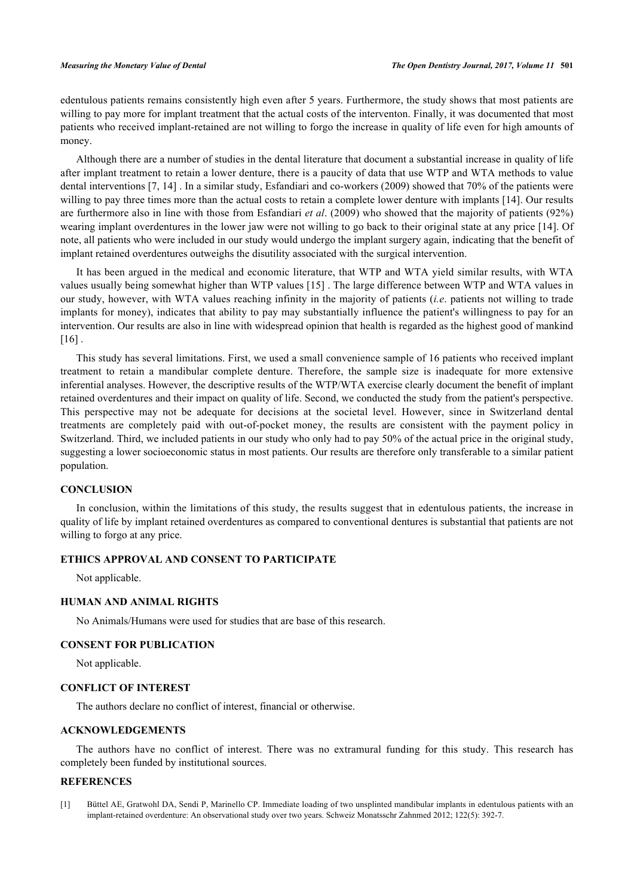edentulous patients remains consistently high even after 5 years. Furthermore, the study shows that most patients are willing to pay more for implant treatment that the actual costs of the interventon. Finally, it was documented that most patients who received implant-retained are not willing to forgo the increase in quality of life even for high amounts of money.

Although there are a number of studies in the dental literature that document a substantial increase in quality of life after implant treatment to retain a lower denture, there is a paucity of data that use WTP and WTA methods to value dental interventions [\[7](#page-4-2), [14\]](#page-4-8) . In a similar study, Esfandiari and co-workers (2009) showed that 70% of the patients were willing to pay three times more than the actual costs to retain a complete lower denture with implants [[14](#page-4-8)]. Our results are furthermore also in line with those from Esfandiari *et al*. (2009) who showed that the majority of patients (92%) wearing implant overdentures in the lower jaw were not willing to go back to their original state at any price [[14](#page-4-8)]. Of note, all patients who were included in our study would undergo the implant surgery again, indicating that the benefit of implant retained overdentures outweighs the disutility associated with the surgical intervention.

It has been argued in the medical and economic literature, that WTP and WTA yield similar results, with WTA values usually being somewhat higher than WTP values [[15\]](#page-4-9) . The large difference between WTP and WTA values in our study, however, with WTA values reaching infinity in the majority of patients (*i.e*. patients not willing to trade implants for money), indicates that ability to pay may substantially influence the patient's willingness to pay for an intervention. Our results are also in line with widespread opinion that health is regarded as the highest good of mankind  $[16]$  $[16]$ .

This study has several limitations. First, we used a small convenience sample of 16 patients who received implant treatment to retain a mandibular complete denture. Therefore, the sample size is inadequate for more extensive inferential analyses. However, the descriptive results of the WTP/WTA exercise clearly document the benefit of implant retained overdentures and their impact on quality of life. Second, we conducted the study from the patient's perspective. This perspective may not be adequate for decisions at the societal level. However, since in Switzerland dental treatments are completely paid with out-of-pocket money, the results are consistent with the payment policy in Switzerland. Third, we included patients in our study who only had to pay 50% of the actual price in the original study, suggesting a lower socioeconomic status in most patients. Our results are therefore only transferable to a similar patient population.

#### **CONCLUSION**

In conclusion, within the limitations of this study, the results suggest that in edentulous patients, the increase in quality of life by implant retained overdentures as compared to conventional dentures is substantial that patients are not willing to forgo at any price.

### **ETHICS APPROVAL AND CONSENT TO PARTICIPATE**

Not applicable.

#### **HUMAN AND ANIMAL RIGHTS**

No Animals/Humans were used for studies that are base of this research.

#### **CONSENT FOR PUBLICATION**

Not applicable.

#### **CONFLICT OF INTEREST**

The authors declare no conflict of interest, financial or otherwise.

#### **ACKNOWLEDGEMENTS**

The authors have no conflict of interest. There was no extramural funding for this study. This research has completely been funded by institutional sources.

#### **REFERENCES**

<span id="page-3-0"></span>[1] Büttel AE, Gratwohl DA, Sendi P, Marinello CP. Immediate loading of two unsplinted mandibular implants in edentulous patients with an implant-retained overdenture: An observational study over two years. Schweiz Monatsschr Zahnmed 2012; 122(5): 392-7.